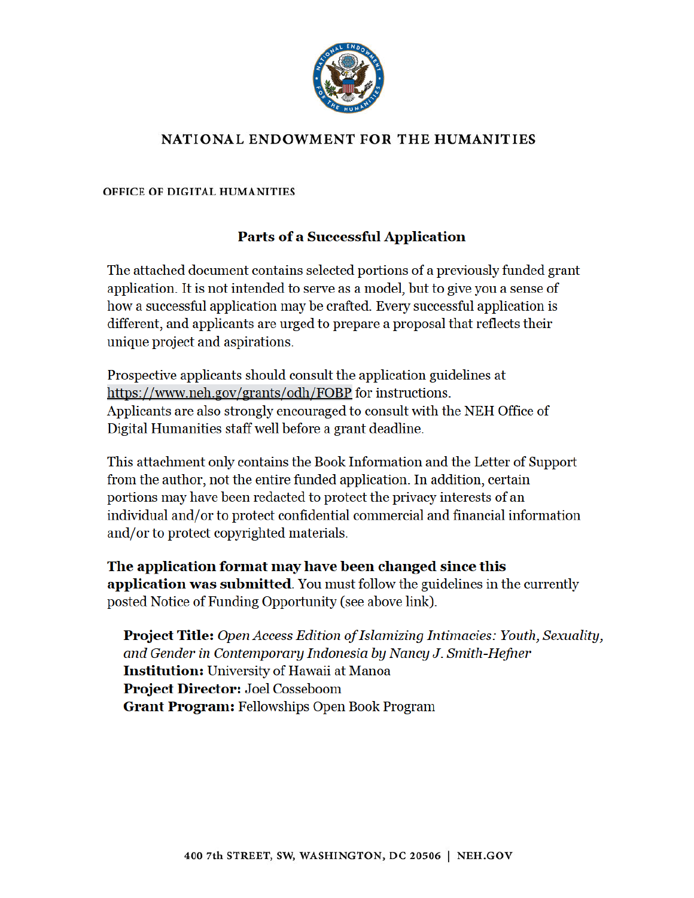

# NATIONAL ENDOWMENT FOR THE HUMANITIES

OFFICE OF DIGITAL HUMANITIES

# **Parts of a Successful Application**

The attached document contains selected portions of a previously funded grant application. It is not intended to serve as a model, but to give you a sense of how a successful application may be crafted. Every successful application is different, and applicants are urged to prepare a proposal that reflects their unique project and aspirations.

Prospective applicants should consult the application guidelines at https://www.neh.gov/grants/odh/FOBP for instructions. Applicants are also strongly encouraged to consult with the NEH Office of Digital Humanities staff well before a grant deadline.

This attachment only contains the Book Information and the Letter of Support from the author, not the entire funded application. In addition, certain portions may have been redacted to protect the privacy interests of an individual and/or to protect confidential commercial and financial information and/or to protect copyrighted materials.

The application format may have been changed since this application was submitted. You must follow the guidelines in the currently posted Notice of Funding Opportunity (see above link).

**Project Title:** Open Access Edition of Islamizing Intimacies: Youth, Sexuality, and Gender in Contemporary Indonesia by Nancy J. Smith-Hefner **Institution:** University of Hawaii at Manoa **Project Director: Joel Cosseboom Grant Program: Fellowships Open Book Program**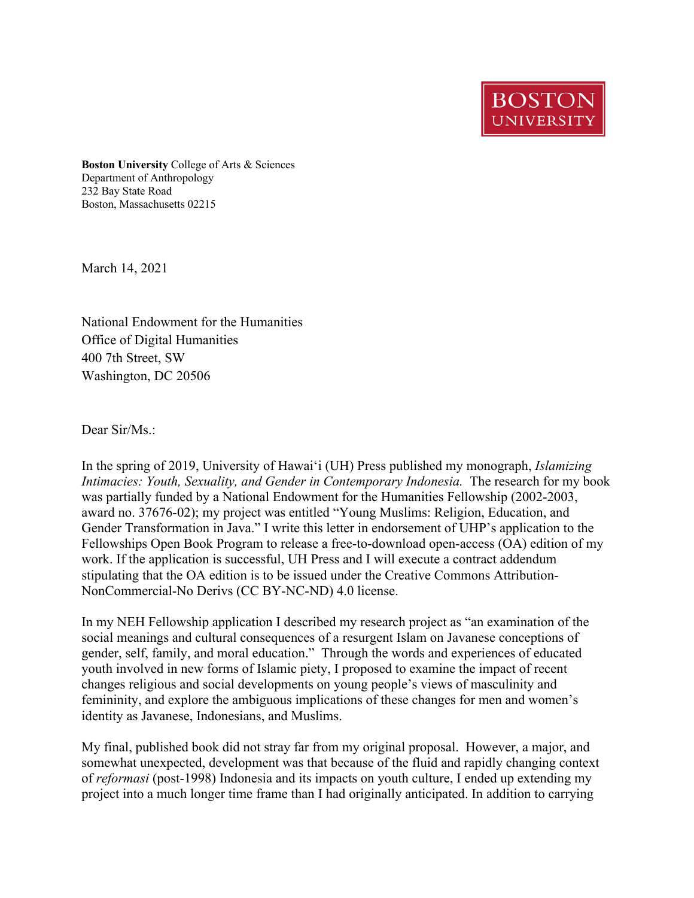**BOSTON UNIVERSIT** 

**Boston University** College of Arts & Sciences Department of Anthropology 232 Bay State Road Boston, Massachusetts 02215

March 14, 2021

National Endowment for the Humanities Office of Digital Humanities 400 7th Street, SW Washington, DC 20506

Dear Sir/Ms.:

In the spring of 2019, University of Hawai'i (UH) Press published my monograph, *Islamizing Intimacies: Youth, Sexuality, and Gender in Contemporary Indonesia. The research for my book* was partially funded by a National Endowment for the Humanities Fellowship (2002-2003, award no. 37676-02); my project was entitled "Young Muslims: Religion, Education, and Gender Transformation in Java." I write this letter in endorsement of UHP's application to the Fellowships Open Book Program to release a free-to-download open-access (OA) edition of my work. If the application is successful, UH Press and I will execute a contract addendum stipulating that the OA edition is to be issued under the Creative Commons Attribution-NonCommercial-No Derivs (CC BY-NC-ND) 4.0 license.

In my NEH Fellowship application I described my research project as "an examination of the social meanings and cultural consequences of a resurgent Islam on Javanese conceptions of gender, self, family, and moral education." Through the words and experiences of educated youth involved in new forms of Islamic piety, I proposed to examine the impact of recent changes religious and social developments on young people's views of masculinity and femininity, and explore the ambiguous implications of these changes for men and women's identity as Javanese, Indonesians, and Muslims.

My final, published book did not stray far from my original proposal. However, a major, and somewhat unexpected, development was that because of the fluid and rapidly changing context of *reformasi* (post-1998) Indonesia and its impacts on youth culture, I ended up extending my project into a much longer time frame than I had originally anticipated. In addition to carrying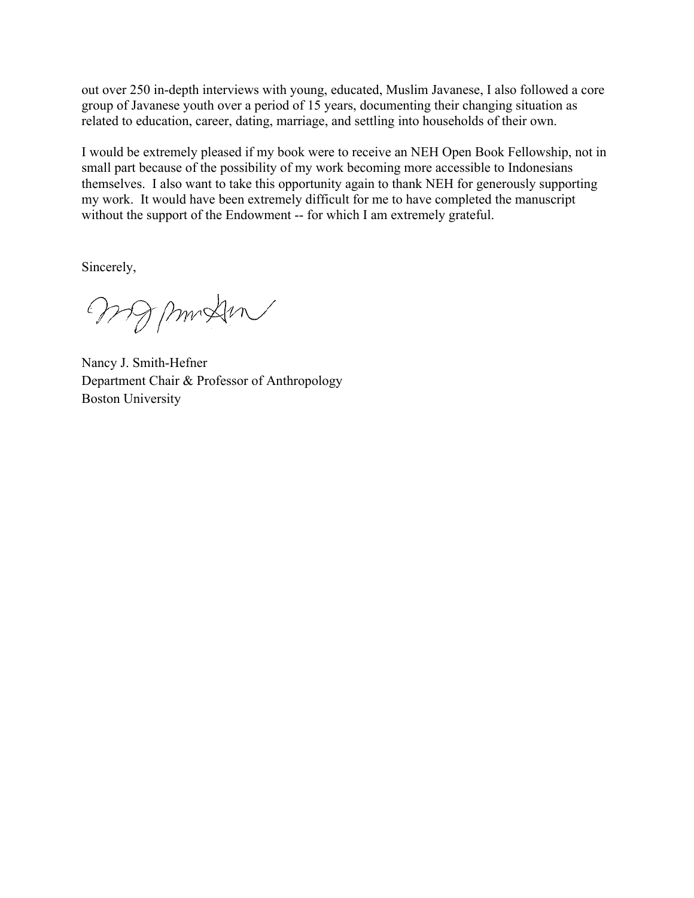out over 250 in-depth interviews with young, educated, Muslim Javanese, I also followed a core group of Javanese youth over a period of 15 years, documenting their changing situation as related to education, career, dating, marriage, and settling into households of their own.

I would be extremely pleased if my book were to receive an NEH Open Book Fellowship, not in small part because of the possibility of my work becoming more accessible to Indonesians themselves. I also want to take this opportunity again to thank NEH for generously supporting my work. It would have been extremely difficult for me to have completed the manuscript without the support of the Endowment -- for which I am extremely grateful.

Sincerely,

wompung

Nancy J. Smith-Hefner Department Chair & Professor of Anthropology Boston University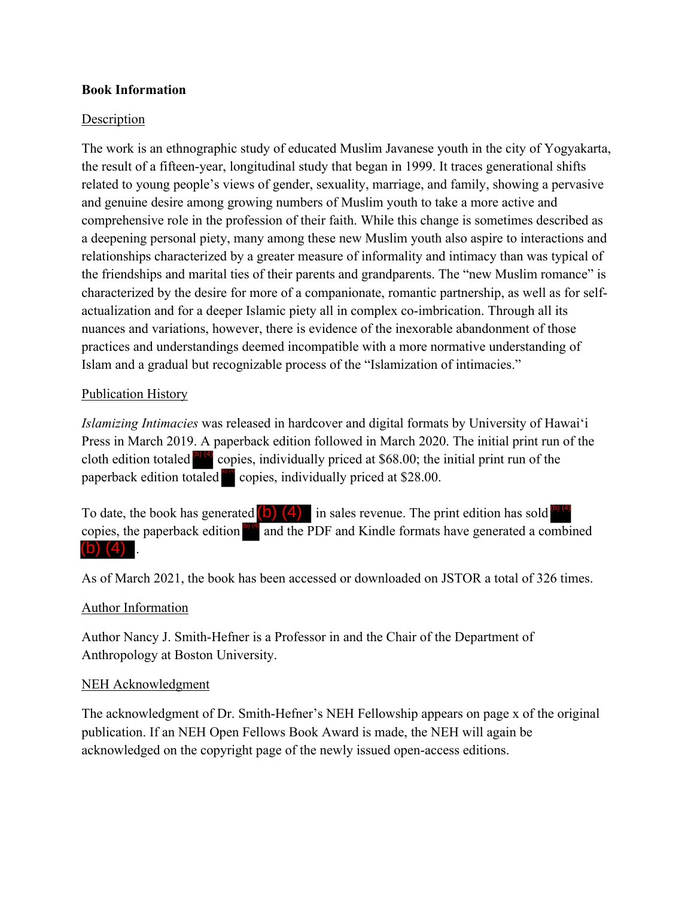## **Book Information**

## Description

The work is an ethnographic study of educated Muslim Javanese youth in the city of Yogyakarta, the result of a fifteen-year, longitudinal study that began in 1999. It traces generational shifts related to young people's views of gender, sexuality, marriage, and family, showing a pervasive and genuine desire among growing numbers of Muslim youth to take a more active and comprehensive role in the profession of their faith. While this change is sometimes described as a deepening personal piety, many among these new Muslim youth also aspire to interactions and relationships characterized by a greater measure of informality and intimacy than was typical of the friendships and marital ties of their parents and grandparents. The "new Muslim romance" is characterized by the desire for more of a companionate, romantic partnership, as well as for selfactualization and for a deeper Islamic piety all in complex co-imbrication. Through all its nuances and variations, however, there is evidence of the inexorable abandonment of those practices and understandings deemed incompatible with a more normative understanding of Islam and a gradual but recognizable process of the "Islamization of intimacies."

## Publication History

*Islamizing Intimacies* was released in hardcover and digital formats by University of Hawai'i Press in March 2019. A paperback edition followed in March 2020. The initial print run of the cloth edition totaled  $\overline{^{(b)(4)}}$  copies, individually priced at \$68.00; the initial print run of the paperback edition totaled  $\frac{1}{2}$  copies, individually priced at \$28.00.

To date, the book has generated  $(0)$   $(4)$  in sales revenue. The print edition has sold  $^{(b)(4)}$ copies, the paperback edition  $\frac{1}{\sqrt{2}}$  and the PDF and Kindle formats have generated a combined  $(b)$   $(4)$ .

As of March 2021, the book has been accessed or downloaded on JSTOR a total of 326 times.

### Author Information

Author Nancy J. Smith-Hefner is a Professor in and the Chair of the Department of Anthropology at Boston University.

### NEH Acknowledgment

The acknowledgment of Dr. Smith-Hefner's NEH Fellowship appears on page x of the original publication. If an NEH Open Fellows Book Award is made, the NEH will again be acknowledged on the copyright page of the newly issued open-access editions.